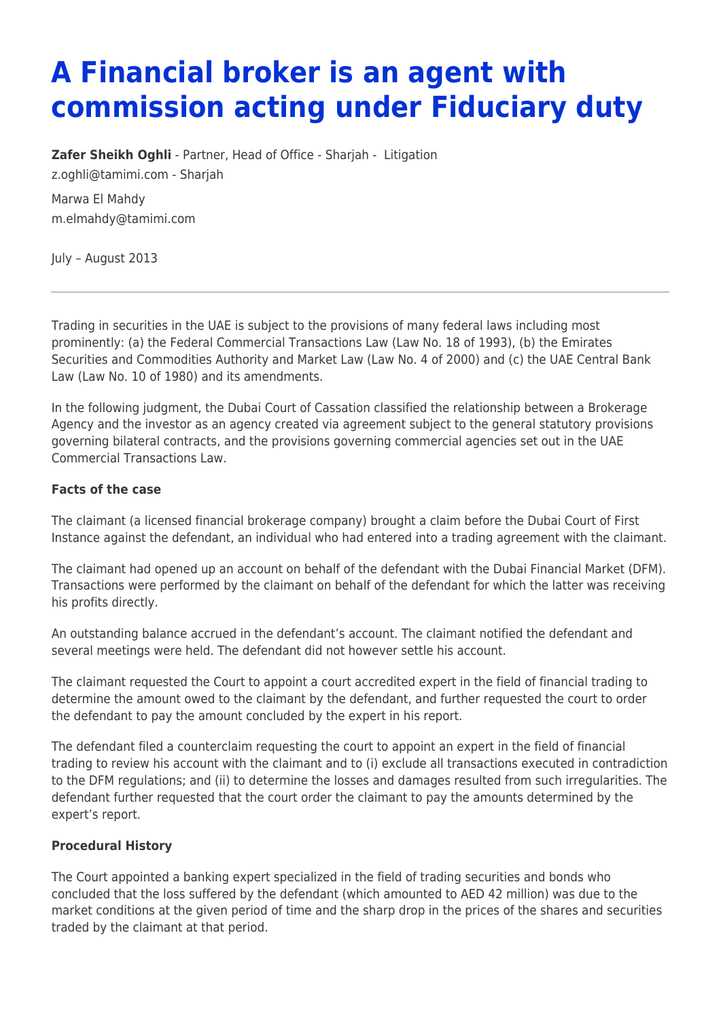# **A Financial broker is an agent with commission acting under Fiduciary duty**

**[Zafer Sheikh Oghli](https://www.tamimi.com/find-a-lawyer/zafer-oghli/)** - Partner, Head of Office - Sharjah - [Litigation](https://www.tamimi.com/client-services/practices/litigation/)

[z.oghli@tamimi.com](mailto:z.oghli@tamimi.com) - [Sharjah](https://www.tamimi.com/locations/uae/)

Marwa El Mahdy [m.elmahdy@tamimi.com](mailto:m.elmahdy@tamimi.com)

July – August 2013

Trading in securities in the UAE is subject to the provisions of many federal laws including most prominently: (a) the Federal Commercial Transactions Law (Law No. 18 of 1993), (b) the Emirates Securities and Commodities Authority and Market Law (Law No. 4 of 2000) and (c) the UAE Central Bank Law (Law No. 10 of 1980) and its amendments.

In the following judgment, the Dubai Court of Cassation classified the relationship between a Brokerage Agency and the investor as an agency created via agreement subject to the general statutory provisions governing bilateral contracts, and the provisions governing commercial agencies set out in the UAE Commercial Transactions Law.

### **Facts of the case**

The claimant (a licensed financial brokerage company) brought a claim before the Dubai Court of First Instance against the defendant, an individual who had entered into a trading agreement with the claimant.

The claimant had opened up an account on behalf of the defendant with the Dubai Financial Market (DFM). Transactions were performed by the claimant on behalf of the defendant for which the latter was receiving his profits directly.

An outstanding balance accrued in the defendant's account. The claimant notified the defendant and several meetings were held. The defendant did not however settle his account.

The claimant requested the Court to appoint a court accredited expert in the field of financial trading to determine the amount owed to the claimant by the defendant, and further requested the court to order the defendant to pay the amount concluded by the expert in his report.

The defendant filed a counterclaim requesting the court to appoint an expert in the field of financial trading to review his account with the claimant and to (i) exclude all transactions executed in contradiction to the DFM regulations; and (ii) to determine the losses and damages resulted from such irregularities. The defendant further requested that the court order the claimant to pay the amounts determined by the expert's report.

# **Procedural History**

The Court appointed a banking expert specialized in the field of trading securities and bonds who concluded that the loss suffered by the defendant (which amounted to AED 42 million) was due to the market conditions at the given period of time and the sharp drop in the prices of the shares and securities traded by the claimant at that period.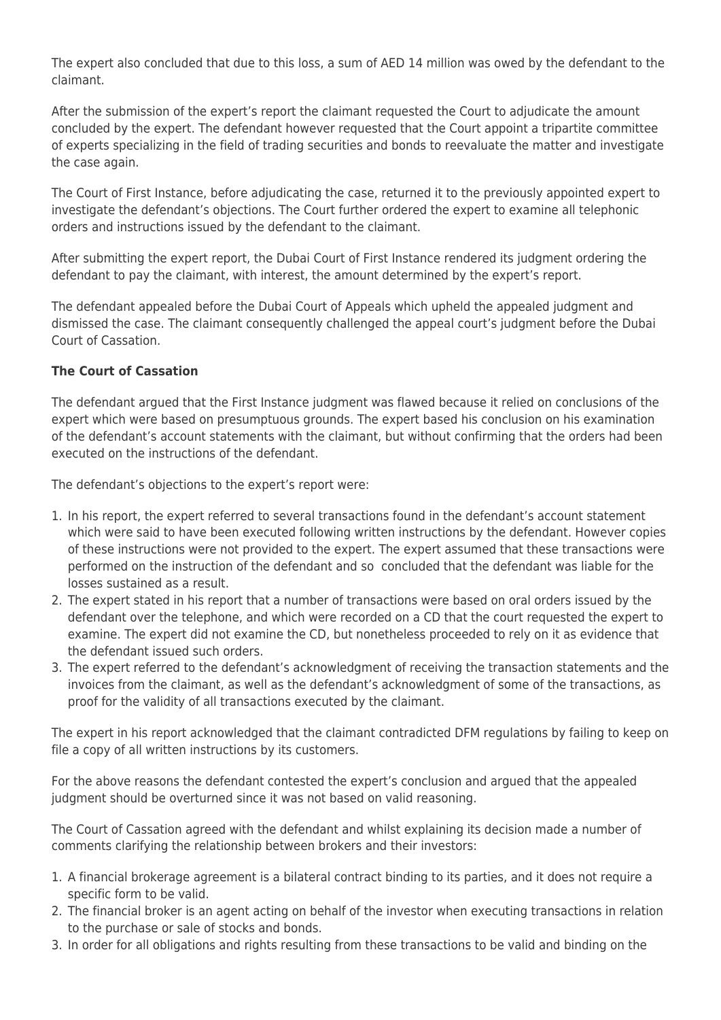The expert also concluded that due to this loss, a sum of AED 14 million was owed by the defendant to the claimant.

After the submission of the expert's report the claimant requested the Court to adjudicate the amount concluded by the expert. The defendant however requested that the Court appoint a tripartite committee of experts specializing in the field of trading securities and bonds to reevaluate the matter and investigate the case again.

The Court of First Instance, before adjudicating the case, returned it to the previously appointed expert to investigate the defendant's objections. The Court further ordered the expert to examine all telephonic orders and instructions issued by the defendant to the claimant.

After submitting the expert report, the Dubai Court of First Instance rendered its judgment ordering the defendant to pay the claimant, with interest, the amount determined by the expert's report.

The defendant appealed before the Dubai Court of Appeals which upheld the appealed judgment and dismissed the case. The claimant consequently challenged the appeal court's judgment before the Dubai Court of Cassation.

# **The Court of Cassation**

The defendant argued that the First Instance judgment was flawed because it relied on conclusions of the expert which were based on presumptuous grounds. The expert based his conclusion on his examination of the defendant's account statements with the claimant, but without confirming that the orders had been executed on the instructions of the defendant.

The defendant's objections to the expert's report were:

- 1. In his report, the expert referred to several transactions found in the defendant's account statement which were said to have been executed following written instructions by the defendant. However copies of these instructions were not provided to the expert. The expert assumed that these transactions were performed on the instruction of the defendant and so concluded that the defendant was liable for the losses sustained as a result.
- 2. The expert stated in his report that a number of transactions were based on oral orders issued by the defendant over the telephone, and which were recorded on a CD that the court requested the expert to examine. The expert did not examine the CD, but nonetheless proceeded to rely on it as evidence that the defendant issued such orders.
- 3. The expert referred to the defendant's acknowledgment of receiving the transaction statements and the invoices from the claimant, as well as the defendant's acknowledgment of some of the transactions, as proof for the validity of all transactions executed by the claimant.

The expert in his report acknowledged that the claimant contradicted DFM regulations by failing to keep on file a copy of all written instructions by its customers.

For the above reasons the defendant contested the expert's conclusion and argued that the appealed judgment should be overturned since it was not based on valid reasoning.

The Court of Cassation agreed with the defendant and whilst explaining its decision made a number of comments clarifying the relationship between brokers and their investors:

- 1. A financial brokerage agreement is a bilateral contract binding to its parties, and it does not require a specific form to be valid.
- 2. The financial broker is an agent acting on behalf of the investor when executing transactions in relation to the purchase or sale of stocks and bonds.
- 3. In order for all obligations and rights resulting from these transactions to be valid and binding on the